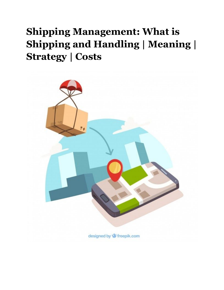# **Shipping Management: What is Shipping and Handling | Meaning | Strategy | Costs**

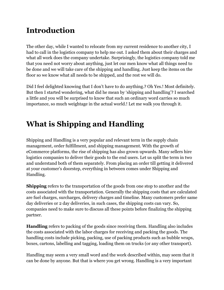## **Introduction**

The other day, while I wanted to relocate from my current residence to another city, I had to call in the logistics company to help me out. I asked them about their charges and what all work does the company undertake. Surprisingly, the logistics company told me that you need not worry about anything, just let our men know what all things need to be done and we will take care of the shipping and handling. Just keep the items on the floor so we know what all needs to be shipped, and the rest we will do.

Did I feel delighted knowing that I don't have to do anything.? Oh Yes.! Most definitely. But then I started wondering, what did he mean by 'shipping and handling'? I searched a little and you will be surprised to know that such an ordinary word carries so much importance, so much weightage in the actual world.! Let me walk you through it.

## **What is Shipping and Handling**

Shipping and Handling is a very popular and relevant term in the supply chain management, order fulfillment, and shipping management. With the growth of eCommerce platforms, the rise of shipping has also grown upwards. Many sellers hire logistics companies to deliver their goods to the end users. Let us split the term in two and understand both of them separately. From placing an order till getting it delivered at your customer's doorstep, everything in between comes under Shipping and Handling.

**Shipping** refers to the transportation of the goods from one stop to another and the costs associated with the transportation. Generally the shipping costs that are calculated are fuel charges, surcharges, delivery charges and timeline. Many customers prefer same day deliveries or 2 day deliveries, in such cases, the shipping costs can vary. So, companies need to make sure to discuss all these points before finalizing the shipping partner.

**Handling** refers to packing of the goods since receiving them. Handling also includes the costs associated with the labor charges for receiving and packing the goods. The handling costs include picking, packing, use of packing products such as bubble wraps, boxes, cartons, labelling and tagging, loading them on trucks (or any other transport).

Handling may seem a very small word and the work described within, may seem that it can be done by anyone. But that is where you get wrong. Handling is a very important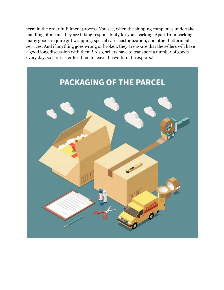term in the order fulfillment process. You see, when the shipping companies undertake handling, it means they are taking responsibility for your packing. Apart from packing, many goods require gift wrapping, special care, customization, and other betterment services. And if anything goes wrong or broken, they are aware that the sellers will have a good long discussion with them.! Also, sellers have to transport a number of goods every day, so it is easier for them to leave the work to the experts.!

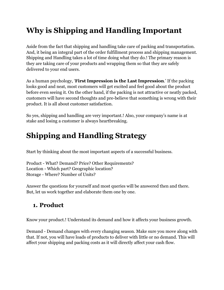## **Why is Shipping and Handling Important**

Aside from the fact that shipping and handling take care of packing and transportation. And, it being an integral part of the order fulfillment process and shipping management. Shipping and Handling takes a lot of time doing what they do.! The primary reason is they are taking care of your products and wrapping them so that they are safely delivered to your end users.

As a human psychology, '**First Impression is the Last Impression**.' If the packing looks good and neat, most customers will get excited and feel good about the product before even seeing it. On the other hand, if the packing is not attractive or neatly packed, customers will have second thoughts and pre-believe that something is wrong with their product. It is all about customer satisfaction.

So yes, shipping and handling are very important.! Also, your company's name is at stake and losing a customer is always heartbreaking.

## **Shipping and Handling Strategy**

Start by thinking about the most important aspects of a successful business.

Product - What? Demand? Price? Other Requirements? Location - Which part? Geographic location? Storage - Where? Number of Units?

Answer the questions for yourself and most queries will be answered then and there. But, let us work together and elaborate them one by one.

### **1. Product**

Know your product.! Understand its demand and how it affects your business growth.

Demand - Demand changes with every changing season. Make sure you move along with that. If not, you will have loads of products to deliver with little or no demand. This will affect your shipping and packing costs as it will directly affect your cash flow.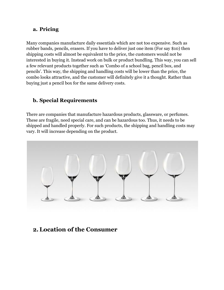#### **a. Pricing**

Many companies manufacture daily essentials which are not too expensive. Such as rubber bands, pencils, erasers. If you have to deliver just one item (For say \$10) then shipping costs will almost be equivalent to the price, the customers would not be interested in buying it. Instead work on bulk or product bundling. This way, you can sell a few relevant products together such as 'Combo of a school bag, pencil box, and pencils'. This way, the shipping and handling costs will be lower than the price, the combo looks attractive, and the customer will definitely give it a thought. Rather than buying just a pencil box for the same delivery costs.

#### **b. Special Requirements**

There are companies that manufacture hazardous products, glassware, or perfumes. These are fragile, need special care, and can be hazardous too. Thus, it needs to be shipped and handled properly. For such products, the shipping and handling costs may vary. It will increase depending on the product.



#### **2.Location of the Consumer**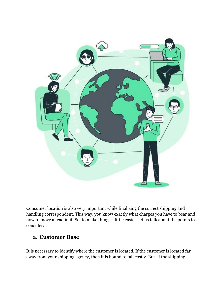

Consumer location is also very important while finalizing the correct shipping and handling correspondent. This way, you know exactly what charges you have to bear and how to move ahead in it. So, to make things a little easier, let us talk about the points to consider:

#### **a. Customer Base**

It is necessary to identify where the customer is located. If the customer is located far away from your shipping agency, then it is bound to fall costly. But, if the shipping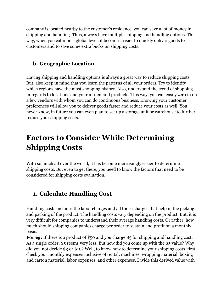company is located nearby to the customer's residence, you can save a lot of money in shipping and handling. Thus, always have multiple shipping and handling options. This way, when you cater on a global level, it becomes easier to quickly deliver goods to customers and to save some extra bucks on shipping costs.

#### **b. Geographic Location**

Having shipping and handling options is always a great way to reduce shipping costs. But, also keep in mind that you learn the patterns of all your orders. Try to identify which regions have the most shopping history. Also, understand the trend of shopping in regards to locations and your in-demand products. This way, you can easily zero in on a few vendors with whom you can do continuous business. Knowing your customer preferences will allow you to deliver goods faster and reduce your costs as well. You never know, in future you can even plan to set up a storage unit or warehouse to further reduce your shipping costs.

## **Factors to Consider While Determining Shipping Costs**

With so much all over the world, it has become increasingly easier to determine shipping costs. But even to get there, you need to know the factors that need to be considered for shipping costs evaluation.

### **1. Calculate Handling Cost**

Handling costs includes the labor charges and all those charges that help in the picking and packing of the product. The handling costs vary depending on the product. But, it is very difficult for companies to understand their average handling costs. Or rather, how much should shipping companies charge per order to sustain and profit on a monthly basis.

For eg: If there is a product of \$50 and you charge \$5 for shipping and handling cost. As a single order, \$5 seems very less. But how did you come up with the \$5 value? Why did you not decide \$3 or \$10? Well, to know how to determine your shipping costs, first check your monthly expenses inclusive of rental, machines, wrapping material, boxing and carton material, labor expenses, and other expenses. Divide this derived value with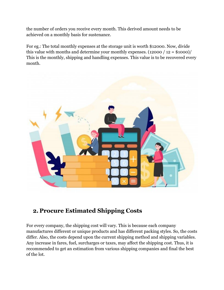the number of orders you receive every month. This derived amount needs to be achieved on a monthly basis for sustenance.

For eg.: The total monthly expenses at the storage unit is worth \$12000. Now, divide this value with months and determine your monthly expenses.  $(12000 / 12 = $1000)$ This is the monthly, shipping and handling expenses. This value is to be recovered every month.



### **2. Procure Estimated Shipping Costs**

For every company, the shipping cost will vary. This is because each company manufactures different or unique products and has different packing styles. So, the costs differ. Also, the costs depend upon the current shipping method and shipping variables. Any increase in fares, fuel, surcharges or taxes, may affect the shipping cost. Thus, it is recommended to get an estimation from various shipping companies and final the best of the lot.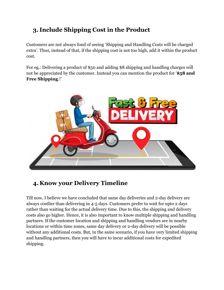### **3. Include Shipping Cost in the Product**

Customers are not always fond of seeing 'Shipping and Handling Costs will be charged extra'. Thus, instead of that, if the shipping cost is not too high, add it within the product cost.

For eg.: Delivering a product of \$50 and adding \$8 shipping and handling charges will not be appreciated by the customer. Instead you can mention the product for '**\$58 and Free Shipping**.!'



### **4. Know your Delivery Timeline**

Till now, I believe we have concluded that same day deliveries and 2-day delivery are always costlier than delivering in 4-5 days. Customers prefer to wait for upto 2 days rather than waiting for the actual delivery time. Due to this, the shipping and delivery costs also go higher. Hence, it is also important to know multiple shipping and handling partners. If the customer location and shipping and handling vendors are in nearby locations or within time zones, same day delivery or 2-day delivery will be possible without any additional costs. But, in the same scenario, if you have very limited shipping and handling partners, then you will have to incur additional costs for expedited shipping.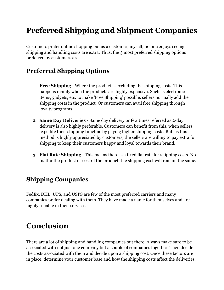## **Preferred Shipping and Shipment Companies**

Customers prefer online shopping but as a customer, myself, no one enjoys seeing shipping and handling costs are extra. Thus, the 3 most preferred shipping options preferred by customers are

### **Preferred Shipping Options**

- 1. **Free Shipping** Where the product is excluding the shipping costs. This happens mainly when the products are highly expensive. Such as electronic items, gadgets, etc. to make 'Free Shipping' possible, sellers normally add the shipping costs in the product. Or customers can avail free shipping through loyalty programs.
- 2. **Same Day Deliveries** Same day delivery or few times referred as 2-day delivery is also highly preferable. Customers can benefit from this, when sellers expedite their shipping timeline by paying higher shipping costs. But, as this method is highly appreciated by customers, the sellers are willing to pay extra for shipping to keep their customers happy and loyal towards their brand.
- 3. **Flat Rate Shipping** This means there is a fixed flat rate for shipping costs. No matter the product or cost of the product, the shipping cost will remain the same.

### **Shipping Companies**

FedEx, DHL, UPS, and USPS are few of the most preferred carriers and many companies prefer dealing with them. They have made a name for themselves and are highly reliable in their services.

## **Conclusion**

There are a lot of shipping and handling companies out there. Always make sure to be associated with not just one company but a couple of companies together. Then decide the costs associated with them and decide upon a shipping cost. Once these factors are in place, determine your customer base and how the shipping costs affect the deliveries.